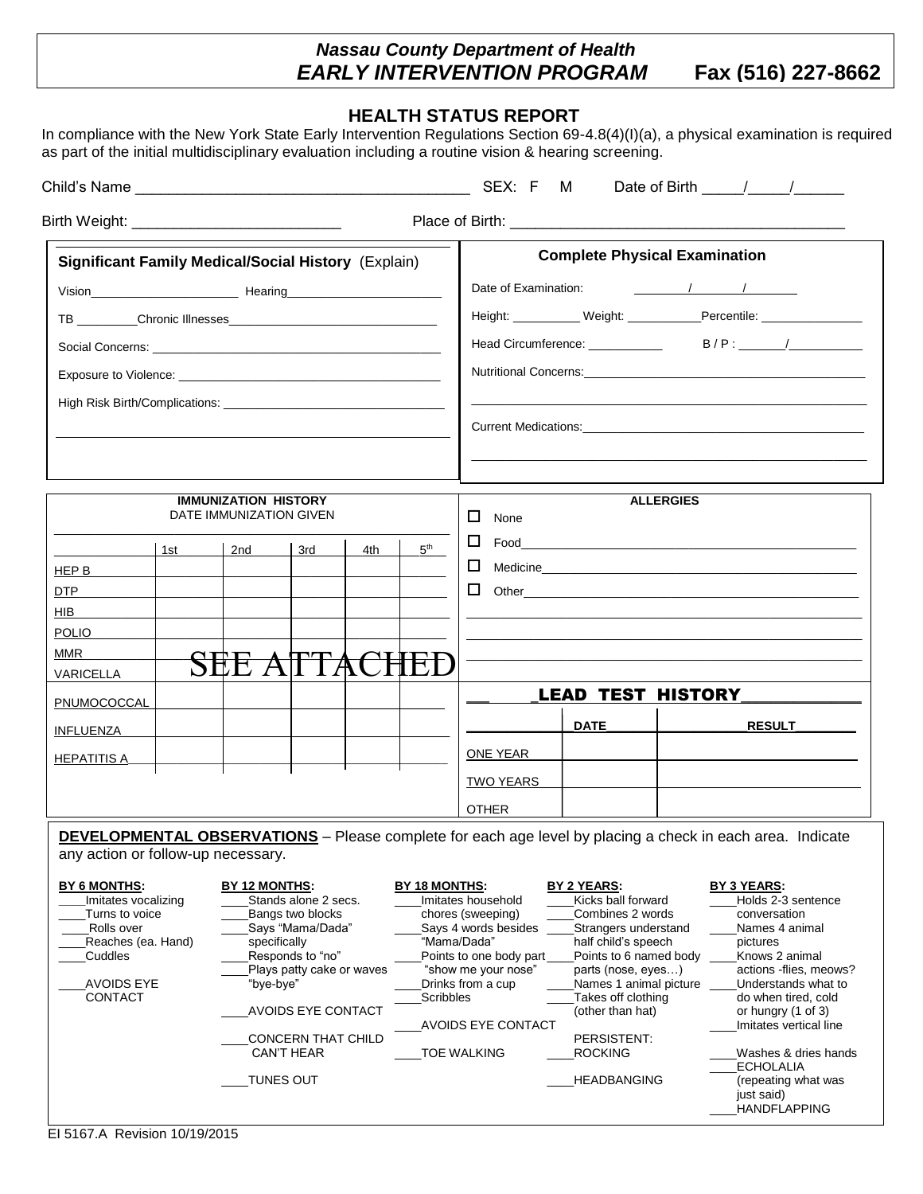## *Nassau County Department of Health EARLY INTERVENTION PROGRAM* **Fax (516) 227-8662**

## **HEALTH STATUS REPORT**

In compliance with the New York State Early Intervention Regulations Section 69-4.8(4)(I)(a), a physical examination is required as part of the initial multidisciplinary evaluation including a routine vision & hearing screening.

| <b>Significant Family Medical/Social History (Explain)</b> |     |                                               |     |                           |                                                |                                                       |                                                                                     | <b>Complete Physical Examination</b>         |                                                                                                                                                                                                                                |  |
|------------------------------------------------------------|-----|-----------------------------------------------|-----|---------------------------|------------------------------------------------|-------------------------------------------------------|-------------------------------------------------------------------------------------|----------------------------------------------|--------------------------------------------------------------------------------------------------------------------------------------------------------------------------------------------------------------------------------|--|
|                                                            |     |                                               |     |                           |                                                |                                                       |                                                                                     |                                              |                                                                                                                                                                                                                                |  |
|                                                            |     |                                               |     |                           |                                                |                                                       |                                                                                     |                                              | Height: ____________ Weight: _____________Percentile: __________________________                                                                                                                                               |  |
|                                                            |     |                                               |     |                           |                                                |                                                       |                                                                                     |                                              |                                                                                                                                                                                                                                |  |
|                                                            |     |                                               |     |                           |                                                |                                                       |                                                                                     |                                              |                                                                                                                                                                                                                                |  |
|                                                            |     |                                               |     |                           |                                                |                                                       |                                                                                     |                                              |                                                                                                                                                                                                                                |  |
|                                                            |     |                                               |     |                           |                                                |                                                       |                                                                                     |                                              |                                                                                                                                                                                                                                |  |
|                                                            |     |                                               |     |                           |                                                | Current Medications: Note of the Current Medications: |                                                                                     |                                              |                                                                                                                                                                                                                                |  |
|                                                            |     |                                               |     |                           |                                                |                                                       |                                                                                     |                                              |                                                                                                                                                                                                                                |  |
|                                                            |     | <b>IMMUNIZATION HISTORY</b>                   |     |                           |                                                |                                                       |                                                                                     | <b>ALLERGIES</b>                             |                                                                                                                                                                                                                                |  |
| DATE IMMUNIZATION GIVEN                                    |     |                                               |     |                           |                                                | $\Box$<br>None                                        |                                                                                     |                                              |                                                                                                                                                                                                                                |  |
|                                                            | 1st | 2nd                                           | 3rd | 4th                       | 5 <sup>th</sup>                                |                                                       |                                                                                     |                                              |                                                                                                                                                                                                                                |  |
| HEP B                                                      |     |                                               |     |                           |                                                |                                                       |                                                                                     |                                              | Medicine Management Communication and Communications of the Communication of the Communication of the Communication of the Communication of the Communication of the Communication of the Communication of the Communication o |  |
| DTP                                                        |     |                                               |     |                           |                                                |                                                       |                                                                                     |                                              |                                                                                                                                                                                                                                |  |
| HIB.                                                       |     |                                               |     |                           |                                                |                                                       |                                                                                     |                                              |                                                                                                                                                                                                                                |  |
| <b>POLIO</b>                                               |     |                                               |     |                           |                                                |                                                       |                                                                                     |                                              |                                                                                                                                                                                                                                |  |
| <b>MMR</b>                                                 |     |                                               |     |                           |                                                |                                                       |                                                                                     |                                              |                                                                                                                                                                                                                                |  |
| VARICELLA                                                  |     | SËË                                           |     |                           |                                                |                                                       |                                                                                     |                                              |                                                                                                                                                                                                                                |  |
| PNUMOCOCCAL                                                |     |                                               |     |                           |                                                |                                                       |                                                                                     | <b>LEAD TEST HISTORY</b>                     |                                                                                                                                                                                                                                |  |
| INFLUENZA                                                  |     |                                               |     |                           |                                                |                                                       | <b>DATE</b>                                                                         |                                              | <b>RESULT</b>                                                                                                                                                                                                                  |  |
|                                                            |     |                                               |     |                           |                                                |                                                       |                                                                                     |                                              |                                                                                                                                                                                                                                |  |
| <b>HEPATITIS A</b>                                         |     |                                               |     |                           |                                                | ONE YEAR                                              |                                                                                     |                                              |                                                                                                                                                                                                                                |  |
|                                                            |     |                                               |     |                           |                                                | <b>TWO YEARS</b>                                      |                                                                                     |                                              |                                                                                                                                                                                                                                |  |
|                                                            |     |                                               |     |                           |                                                | <b>OTHER</b>                                          |                                                                                     |                                              |                                                                                                                                                                                                                                |  |
| any action or follow-up necessary.                         |     |                                               |     |                           |                                                |                                                       |                                                                                     |                                              | <b>DEVELOPMENTAL OBSERVATIONS</b> - Please complete for each age level by placing a check in each area. Indicate                                                                                                               |  |
| <b>BY 6 MONTHS:</b><br>Imitates vocalizing                 |     | <b>BY 12 MONTHS:</b><br>Stands alone 2 secs.  |     |                           | BY 18 MONTHS:                                  | Imitates household                                    | BY 2 YEARS:<br>Kicks ball forward                                                   |                                              | <b>BY 3 YEARS:</b><br>Holds 2-3 sentence                                                                                                                                                                                       |  |
| Turns to voice                                             |     | Bangs two blocks                              |     |                           | chores (sweeping)<br>Says 4 words besides      |                                                       | Combines 2 words                                                                    |                                              | conversation                                                                                                                                                                                                                   |  |
| Rolls over<br>Reaches (ea. Hand)                           |     | Says "Mama/Dada"<br>specifically              |     |                           | "Mama/Dada"                                    |                                                       | half child's speech                                                                 | Strangers understand                         | Names 4 animal<br>pictures                                                                                                                                                                                                     |  |
| Cuddles                                                    |     | Responds to "no"<br>Plays patty cake or waves |     |                           | Points to one body part<br>"show me your nose" |                                                       |                                                                                     | Points to 6 named body<br>parts (nose, eyes) | Knows 2 animal<br>actions -flies, meows?                                                                                                                                                                                       |  |
| <b>AVOIDS EYE</b><br><b>CONTACT</b>                        |     | "bye-bye"                                     |     |                           | Drinks from a cup                              |                                                       |                                                                                     | Names 1 animal picture                       | Understands what to                                                                                                                                                                                                            |  |
|                                                            |     | <b>AVOIDS EYE CONTACT</b>                     |     |                           | Scribbles                                      |                                                       | Takes off clothing<br>do when tired, cold<br>(other than hat)<br>or hungry (1 of 3) |                                              |                                                                                                                                                                                                                                |  |
|                                                            |     |                                               |     |                           |                                                | AVOIDS EYE CONTACT                                    |                                                                                     |                                              | Imitates vertical line                                                                                                                                                                                                         |  |
|                                                            |     | <b>CAN'T HEAR</b>                             |     | <b>CONCERN THAT CHILD</b> |                                                | TOE WALKING                                           | PERSISTENT:<br><b>ROCKING</b>                                                       |                                              | Washes & dries hands                                                                                                                                                                                                           |  |
|                                                            |     | TUNES OUT                                     |     |                           |                                                |                                                       | <b>HEADBANGING</b>                                                                  |                                              | <b>ECHOLALIA</b><br>(repeating what was                                                                                                                                                                                        |  |
|                                                            |     |                                               |     |                           |                                                |                                                       |                                                                                     |                                              | just said)<br>HANDFLAPPING                                                                                                                                                                                                     |  |

Nassau County Department of Health Early Intervention Program.